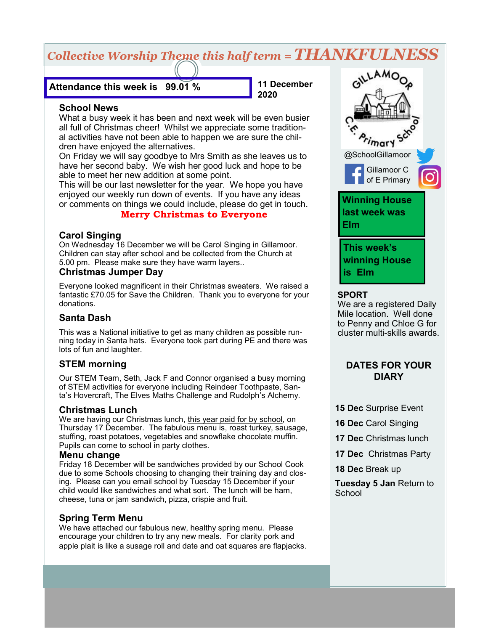# *Collective Worship Theme this half term = THANKFULNESS*

**Attendance this week is 99.01 %**

**11 December 2020**

#### **School News**

What a busy week it has been and next week will be even busier all full of Christmas cheer! Whilst we appreciate some traditional activities have not been able to happen we are sure the children have enjoyed the alternatives.

On Friday we will say goodbye to Mrs Smith as she leaves us to have her second baby. We wish her good luck and hope to be able to meet her new addition at some point.

This will be our last newsletter for the year. We hope you have enjoyed our weekly run down of events. If you have any ideas or comments on things we could include, please do get in touch.

### **Merry Christmas to Everyone**

### **Carol Singing**

On Wednesday 16 December we will be Carol Singing in Gillamoor. Children can stay after school and be collected from the Church at 5.00 pm. Please make sure they have warm layers..

#### **Christmas Jumper Day**

Everyone looked magnificent in their Christmas sweaters. We raised a fantastic £70.05 for Save the Children. Thank you to everyone for your donations.

# **Santa Dash**

This was a National initiative to get as many children as possible running today in Santa hats. Everyone took part during PE and there was lots of fun and laughter.

# **STEM morning**

Our STEM Team, Seth, Jack F and Connor organised a busy morning of STEM activities for everyone including Reindeer Toothpaste, Santa's Hovercraft, The Elves Maths Challenge and Rudolph's Alchemy.

#### **Christmas Lunch**

We are having our Christmas lunch, this year paid for by school, on Thursday 17 December. The fabulous menu is, roast turkey, sausage, stuffing, roast potatoes, vegetables and snowflake chocolate muffin. Pupils can come to school in party clothes.

#### **Menu change**

Friday 18 December will be sandwiches provided by our School Cook due to some Schools choosing to changing their training day and closing. Please can you email school by Tuesday 15 December if your child would like sandwiches and what sort. The lunch will be ham, cheese, tuna or jam sandwich, pizza, crispie and fruit.

### **Spring Term Menu**

We have attached our fabulous new, healthy spring menu. Please encourage your children to try any new meals. For clarity pork and apple plait is like a susage roll and date and oat squares are flapjacks.



#### **SPORT**

We are a registered Daily Mile location. Well done to Penny and Chloe G for cluster multi-skills awards.

### **DATES FOR YOUR DIARY**

- **15 Dec** Surprise Event
- **16 Dec** Carol Singing
- **17 Dec** Christmas lunch
- **17 Dec** Christmas Party
- **18 Dec** Break up

**Tuesday 5 Jan** Return to **School**